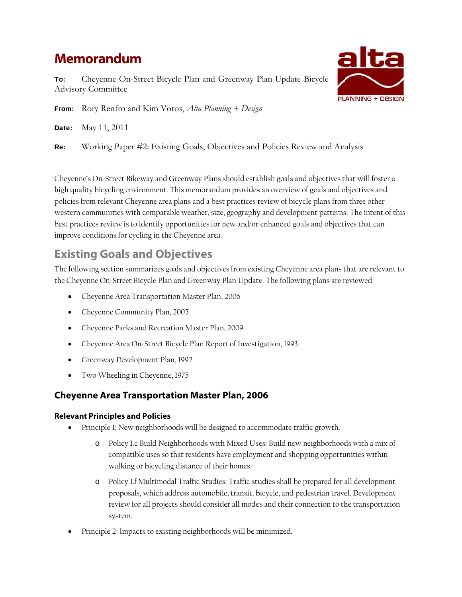# **Memorandum**

To: Advisory Committee Cheyenne On-Street Bicycle Plan and Greenway Plan Update Bicycle



From: Rory Renfro and Kim Voros, *Alta Planning* + Design

Date: May 11, 2011

Re: Working Paper #2: Existing Goals, Objectives and Policies Review and Analysis

Cheyenne's On-Street Bikeway and Greenway Plans should establish goals and objectives that will foster a high quality bicycling environment. This memorandum provides an overview of goals and objectives and policies from relevant Cheyenne area plans and a best practices review of bicycle plans from three other western communities with comparable weather, size, geography and development patterns. The intent of this best practices review is to identify opportunities for new and/or enhanced goals and objectives that can improve conditions for cycling in the Cheyenne area.

## **Existing Goals and Objectives**

The following section summarizes goals and objectives from existing Cheyenne area plans that are relevant to the Cheyenne On-Street Bicycle Plan and Greenway Plan Update. The following plans are reviewed:

- Cheyenne Area Transportation Master Plan, 2006
- Cheyenne Community Plan, 2005
- Cheyenne Parks and Recreation Master Plan, 2009
- Cheyenne Area On-Street Bicycle Plan Report of Investigation, 1993
- Greenway Development Plan, 1992
- Two Wheeling in Cheyenne, 1975

## **Cheyenne Area Transportation Master Plan, 2006**

## **Relevant t Principles a and Policies**

- Principle 1: New neighborhoods will be designed to accommodate traffic growth.
	- o Policy 1.c Build Neighborhoods with Mixed Uses: Build new neighborhoods with a mix of compatible uses so that residents have employment and shopping opportunities within walking or bicycling distance of their homes.
	- o Policy 1.f Multimodal Traffic Studies: Traffic studies shall be prepared for all development proposals, which address automobile, transit, bicycle, and pedestrian travel. Development review for all projects should consider all modes and their connection to the transportation system.
- Principle 2: Impacts to existing neighborhoods will be minimized.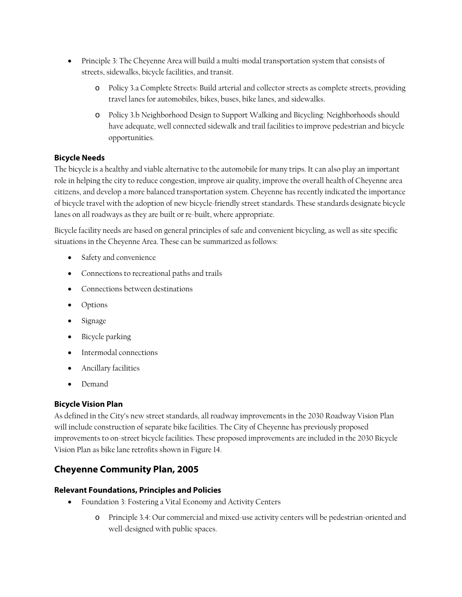- Principle 3: The Cheyenne Area will build a multi-modal transportation system that consists of streets, sidewalks, bicycle facilities, and transit.
	- o Policy 3.a Complete Streets: Build arterial and collector streets as complete streets, providing travel lanes for automobiles, bikes, buses, bike lanes, and sidewalks.
	- o Policy 3.b Neighborhood Design to Support Walking and Bicycling: Neighborhoods should have adequate, well connected sidewalk and trail facilities to improve pedestrian and bicycle opportunities.

## **Bicycle Needs**

The bicycle is a healthy and viable alternative to the automobile for many trips. It can also play an important role in helping the city to reduce congestion, improve air quality, improve the overall health of Cheyenne area citizens, and develop a more balanced transportation system. Cheyenne has recently indicated the importance of bicycle travel with the adoption of new bicycle-friendly street standards. These standards designate bicycle lanes on all roadways as they are built or re-built, where appropriate.

Bicycle facility needs are based on general principles of safe and convenient bicycling, as well as site specific situations in the Cheyenne Area. These can be summarized as follows:

- Safety and convenience
- Connections to recreational paths and trails
- Connections between destinations
- Options
- Signage
- Bicycle parking
- Intermodal connections
- Ancillary facilities
- Demand

#### **Bicycle Vision Plan**

As defined in the City's new street standards, all roadway improvements in the 2030 Roadway Vision Plan will include construction of separate bike facilities. The City of Cheyenne has previously proposed improvements to on-street bicycle facilities. These proposed improvements are included in the 2030 Bicycle Vision Plan as bike lane retrofits shown in Figure 14.

## **Cheyenne Community Plan, 2005**

#### **Relevant Foundations, Principles and Policies**

- Foundation 3: Fostering a Vital Economy and Activity Centers
	- o Principle 3.4: Our commercial and mixed-use activity centers will be pedestrian-oriented and well-designed with public spaces.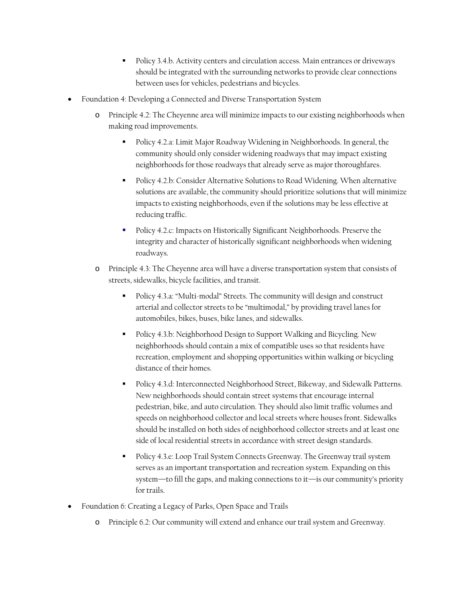- Policy 3.4.b. Activity centers and circulation access. Main entrances or driveways should be integrated with the surrounding networks to provide clear connections between uses for vehicles, pedestrians and bicycles.
- Foundation 4: Developing a Connected and Diverse Transportation System
	- o Principle 4.2: The Cheyenne area will minimize impacts to our existing neighborhoods when making road improvements.
		- Policy 4.2.a: Limit Major Roadway Widening in Neighborhoods. In general, the community should only consider widening roadways that may impact existing neighborhoods for those roadways that already serve as major thoroughfares.
		- Policy 4.2.b: Consider Alternative Solutions to Road Widening. When alternative solutions are available, the community should prioritize solutions that will minimize impacts to existing neighborhoods, even if the solutions may be less effective at reducing traffic.
		- Policy 4.2.c: Impacts on Historically Significant Neighborhoods. Preserve the integrity and character of historically significant neighborhoods when widening roadways.
	- o Principle 4.3: The Cheyenne area will have a diverse transportation system that consists of streets, sidewalks, bicycle facilities, and transit.
		- Policy 4.3.a: "Multi-modal" Streets. The community will design and construct arterial and collector streets to be "multimodal," by providing travel lanes for automobiles, bikes, buses, bike lanes, and sidewalks.
		- Policy 4.3.b: Neighborhood Design to Support Walking and Bicycling. New neighborhoods should contain a mix of compatible uses so that residents have recreation, employment and shopping opportunities within walking or bicycling distance of their homes.
		- Policy 4.3.d: Interconnected Neighborhood Street, Bikeway, and Sidewalk Patterns. New neighborhoods should contain street systems that encourage internal pedestrian, bike, and auto circulation. They should also limit traffic volumes and speeds on neighborhood collector and local streets where houses front. Sidewalks should be installed on both sides of neighborhood collector streets and at least one side of local residential streets in accordance with street design standards.
		- Policy 4.3.e: Loop Trail System Connects Greenway. The Greenway trail system serves as an important transportation and recreation system. Expanding on this system—to fill the gaps, and making connections to it—is our community's priority for trails.
- Foundation 6: Creating a Legacy of Parks, Open Space and Trails
	- o Principle 6.2: Our community will extend and enhance our trail system and Greenway.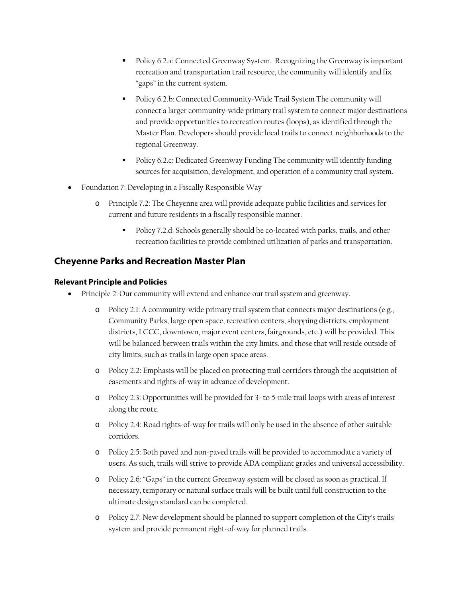- Policy 6.2.a: Connected Greenway System. Recognizing the Greenway is important recreation and transportation trail resource, the community will identify and fix "gaps" in the current system.
- Policy 6.2.b: Connected Community-Wide Trail System The community will connect a larger community-wide primary trail system to connect major destinations and provide opportunities to recreation routes (loops), as identified through the Master Plan. Developers should provide local trails to connect neighborhoods to the regional Greenway.
- Policy 6.2.c: Dedicated Greenway Funding The community will identify funding sources for acquisition, development, and operation of a community trail system.
- Foundation 7: Developing in a Fiscally Responsible Way
	- o Principle 7.2: The Cheyenne area will provide adequate public facilities and services for current and future residents in a fiscally responsible manner.
		- Policy 7.2.d: Schools generally should be co-located with parks, trails, and other recreation facilities to provide combined utilization of parks and transportation.

## **Cheyenne Parks and Recreation Master Plan**

#### **Relevant Principle and Policies**

- Principle 2: Our community will extend and enhance our trail system and greenway.
	- o Policy 2.1: A community-wide primary trail system that connects major destinations (e.g., Community Parks, large open space, recreation centers, shopping districts, employment districts, LCCC, downtown, major event centers, fairgrounds, etc.) will be provided. This will be balanced between trails within the city limits, and those that will reside outside of city limits, such as trails in large open space areas.
	- o Policy 2.2: Emphasis will be placed on protecting trail corridors through the acquisition of easements and rights-of-way in advance of development.
	- o Policy 2.3: Opportunities will be provided for 3- to 5-mile trail loops with areas of interest along the route.
	- o Policy 2.4: Road rights-of-way for trails will only be used in the absence of other suitable corridors.
	- o Policy 2.5: Both paved and non-paved trails will be provided to accommodate a variety of users. As such, trails will strive to provide ADA compliant grades and universal accessibility.
	- o Policy 2.6: "Gaps" in the current Greenway system will be closed as soon as practical. If necessary, temporary or natural surface trails will be built until full construction to the ultimate design standard can be completed.
	- o Policy 2.7: New development should be planned to support completion of the City's trails system and provide permanent right-of-way for planned trails.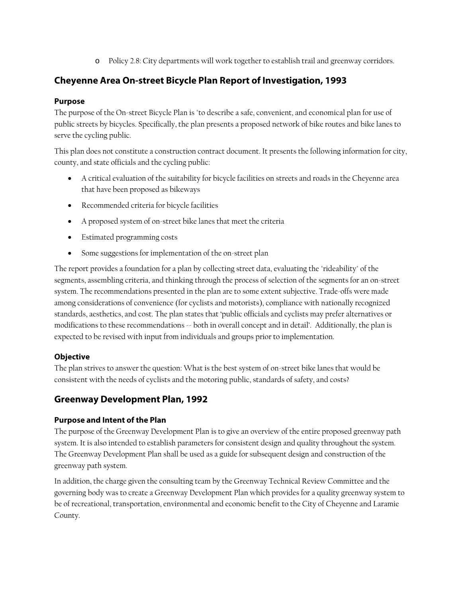o Policy 2.8: City departments will work together to establish trail and greenway corridors.

## **Cheyenne Area On-street Bicycle Plan Report of Investigation, 1993**

#### **Purpose**

The purpose of the On-street Bicycle Plan is "to describe a safe, convenient, and economical plan for use of public streets by bicycles. Specifically, the plan presents a proposed network of bike routes and bike lanes to serve the cycling public.

This plan does not constitute a construction contract document. It presents the following information for city, county, and state officials and the cycling public:

- A critical evaluation of the suitability for bicycle facilities on streets and roads in the Cheyenne area that have been proposed as bikeways
- Recommended criteria for bicycle facilities
- A proposed system of on-street bike lanes that meet the criteria
- Estimated programming costs
- Some suggestions for implementation of the on-street plan

The report provides a foundation for a plan by collecting street data, evaluating the "rideability" of the segments, assembling criteria, and thinking through the process of selection of the segments for an on-street system. The recommendations presented in the plan are to some extent subjective. Trade-offs were made among considerations of convenience (for cyclists and motorists), compliance with nationally recognized standards, aesthetics, and cost. The plan states that 'public officials and cyclists may prefer alternatives or modifications to these recommendations -- both in overall concept and in detail'. Additionally, the plan is expected to be revised with input from individuals and groups prior to implementation.

#### **Objective**

The plan strives to answer the question: What is the best system of on-street bike lanes that would be consistent with the needs of cyclists and the motoring public, standards of safety, and costs?

## **Greenway Development Plan, 1992**

#### **Purpose and Intent of the Plan**

The purpose of the Greenway Development Plan is to give an overview of the entire proposed greenway path system. It is also intended to establish parameters for consistent design and quality throughout the system. The Greenway Development Plan shall be used as a guide for subsequent design and construction of the greenway path system.

In addition, the charge given the consulting team by the Greenway Technical Review Committee and the governing body was to create a Greenway Development Plan which provides for a quality greenway system to be of recreational, transportation, environmental and economic benefit to the City of Cheyenne and Laramie County.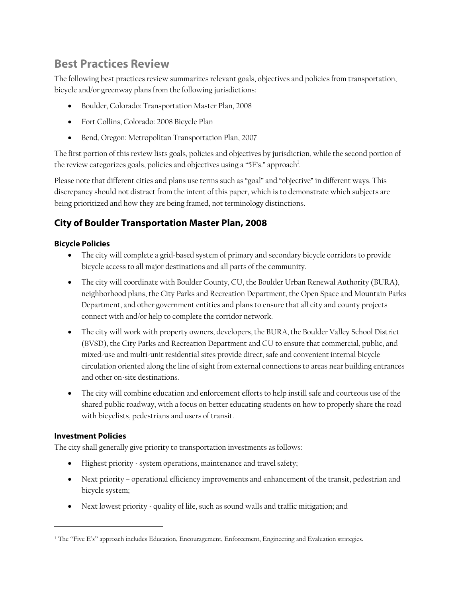## **Best Practices Review**

The following best practices review summarizes relevant goals, objectives and policies from transportation, bicycle and/or greenway plans from the following jurisdictions:

- Boulder, Colorado: Transportation Master Plan, 2008
- Fort Collins, Colorado: 2008 Bicycle Plan
- Bend, Oregon: Metropolitan Transportation Plan, 2007

The first portion of this review lists goals, policies and objectives by jurisdiction, while the second portion of the review categorizes goals, policies and objectives using a "5E's." approach $^{\rm l}$ .

Please note that different cities and plans use terms such as "goal" and "objective" in different ways. This discrepancy should not distract from the intent of this paper, which is to demonstrate which subjects are being prioritized and how they are being framed, not terminology distinctions.

## **City of Boulder Transportation Master Plan, 2008**

## **Bicycle Policies**

- The city will complete a grid-based system of primary and secondary bicycle corridors to provide bicycle access to all major destinations and all parts of the community.
- The city will coordinate with Boulder County, CU, the Boulder Urban Renewal Authority (BURA), neighborhood plans, the City Parks and Recreation Department, the Open Space and Mountain Parks Department, and other government entities and plans to ensure that all city and county projects connect with and/or help to complete the corridor network.
- The city will work with property owners, developers, the BURA, the Boulder Valley School District (BVSD), the City Parks and Recreation Department and CU to ensure that commercial, public, and mixed-use and multi-unit residential sites provide direct, safe and convenient internal bicycle circulation oriented along the line of sight from external connections to areas near building entrances and other on-site destinations.
- The city will combine education and enforcement efforts to help instill safe and courteous use of the shared public roadway, with a focus on better educating students on how to properly share the road with bicyclists, pedestrians and users of transit.

#### **Investment Policies**

1

The city shall generally give priority to transportation investments as follows:

- Highest priority system operations, maintenance and travel safety;
- Next priority operational efficiency improvements and enhancement of the transit, pedestrian and bicycle system;
- Next lowest priority quality of life, such as sound walls and traffic mitigation; and

<sup>1</sup> The "Five E's" approach includes Education, Encouragement, Enforcement, Engineering and Evaluation strategies.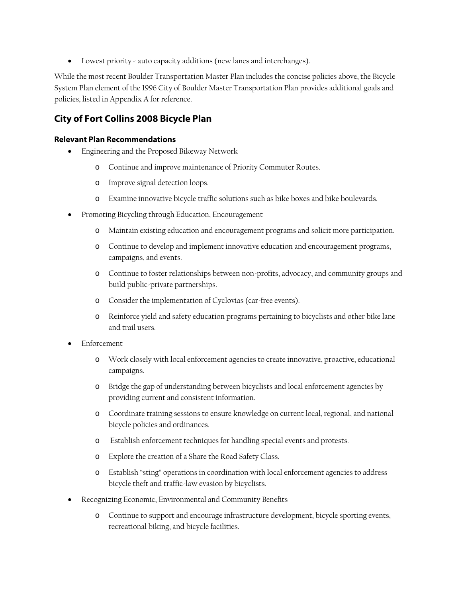Lowest priority - auto capacity additions (new lanes and interchanges).

While the most recent Boulder Transportation Master Plan includes the concise policies above, the Bicycle System Plan element of the 1996 City of Boulder Master Transportation Plan provides additional goals and policies, listed in Appendix A for reference.

## **City of Fort Collins 2008 Bicycle Plan**

#### **Relevant Plan Recommendations**

- Engineering and the Proposed Bikeway Network
	- o Continue and improve maintenance of Priority Commuter Routes.
	- o Improve signal detection loops.
	- o Examine innovative bicycle traffic solutions such as bike boxes and bike boulevards.
- Promoting Bicycling through Education, Encouragement
	- o Maintain existing education and encouragement programs and solicit more participation.
	- o Continue to develop and implement innovative education and encouragement programs, campaigns, and events.
	- o Continue to foster relationships between non-profits, advocacy, and community groups and build public-private partnerships.
	- o Consider the implementation of Cyclovias (car-free events).
	- o Reinforce yield and safety education programs pertaining to bicyclists and other bike lane and trail users.
- Enforcement
	- o Work closely with local enforcement agencies to create innovative, proactive, educational campaigns.
	- o Bridge the gap of understanding between bicyclists and local enforcement agencies by providing current and consistent information.
	- o Coordinate training sessions to ensure knowledge on current local, regional, and national bicycle policies and ordinances.
	- o Establish enforcement techniques for handling special events and protests.
	- o Explore the creation of a Share the Road Safety Class.
	- o Establish "sting" operations in coordination with local enforcement agencies to address bicycle theft and traffic-law evasion by bicyclists.
- Recognizing Economic, Environmental and Community Benefits
	- o Continue to support and encourage infrastructure development, bicycle sporting events, recreational biking, and bicycle facilities.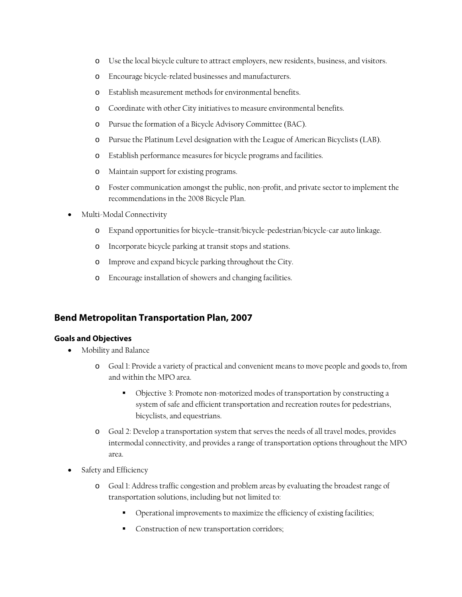- o Use the local bicycle culture to attract employers, new residents, business, and visitors.
- o Encourage bicycle-related businesses and manufacturers.
- o Establish measurement methods for environmental benefits.
- o Coordinate with other City initiatives to measure environmental benefits.
- o Pursue the formation of a Bicycle Advisory Committee (BAC).
- o Pursue the Platinum Level designation with the League of American Bicyclists (LAB).
- o Establish performance measures for bicycle programs and facilities.
- o Maintain support for existing programs.
- o Foster communication amongst the public, non-profit, and private sector to implement the recommendations in the 2008 Bicycle Plan.
- Multi-Modal Connectivity
	- o Expand opportunities for bicycle–transit/bicycle-pedestrian/bicycle-car auto linkage.
	- o Incorporate bicycle parking at transit stops and stations.
	- o Improve and expand bicycle parking throughout the City.
	- o Encourage installation of showers and changing facilities.

#### **Bend Metropolitan Transportation Plan, 2007**

#### **Goals and Objectives**

- Mobility and Balance
	- o Goal 1: Provide a variety of practical and convenient means to move people and goods to, from and within the MPO area.
		- Objective 3: Promote non-motorized modes of transportation by constructing a system of safe and efficient transportation and recreation routes for pedestrians, bicyclists, and equestrians.
	- o Goal 2: Develop a transportation system that serves the needs of all travel modes, provides intermodal connectivity, and provides a range of transportation options throughout the MPO area.
- Safety and Efficiency
	- o Goal 1: Address traffic congestion and problem areas by evaluating the broadest range of transportation solutions, including but not limited to:
		- Operational improvements to maximize the efficiency of existing facilities;
		- Construction of new transportation corridors;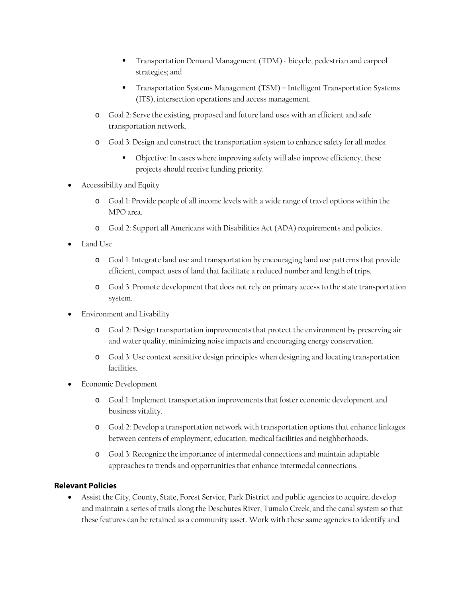- Transportation Demand Management (TDM) bicycle, pedestrian and carpool strategies; and
- Transportation Systems Management (TSM) Intelligent Transportation Systems (ITS), intersection operations and access management.
- o Goal 2: Serve the existing, proposed and future land uses with an efficient and safe transportation network.
- o Goal 3: Design and construct the transportation system to enhance safety for all modes.
	- Objective: In cases where improving safety will also improve efficiency, these projects should receive funding priority.
- Accessibility and Equity
	- o Goal 1: Provide people of all income levels with a wide range of travel options within the MPO area.
	- o Goal 2: Support all Americans with Disabilities Act (ADA) requirements and policies.
- Land Use
	- o Goal 1: Integrate land use and transportation by encouraging land use patterns that provide efficient, compact uses of land that facilitate a reduced number and length of trips.
	- o Goal 3: Promote development that does not rely on primary access to the state transportation system.
- Environment and Livability
	- o Goal 2: Design transportation improvements that protect the environment by preserving air and water quality, minimizing noise impacts and encouraging energy conservation.
	- o Goal 3: Use context sensitive design principles when designing and locating transportation facilities.
- Economic Development
	- o Goal 1: Implement transportation improvements that foster economic development and business vitality.
	- o Goal 2: Develop a transportation network with transportation options that enhance linkages between centers of employment, education, medical facilities and neighborhoods.
	- o Goal 3: Recognize the importance of intermodal connections and maintain adaptable approaches to trends and opportunities that enhance intermodal connections.

#### **Relevant Policies**

 Assist the City, County, State, Forest Service, Park District and public agencies to acquire, develop and maintain a series of trails along the Deschutes River, Tumalo Creek, and the canal system so that these features can be retained as a community asset. Work with these same agencies to identify and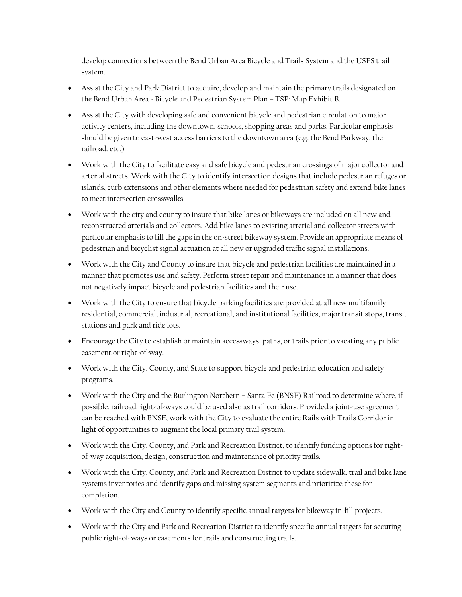develop connections between the Bend Urban Area Bicycle and Trails System and the USFS trail system.

- Assist the City and Park District to acquire, develop and maintain the primary trails designated on the Bend Urban Area - Bicycle and Pedestrian System Plan – TSP: Map Exhibit B.
- Assist the City with developing safe and convenient bicycle and pedestrian circulation to major activity centers, including the downtown, schools, shopping areas and parks. Particular emphasis should be given to east-west access barriers to the downtown area (e.g. the Bend Parkway, the railroad, etc.).
- Work with the City to facilitate easy and safe bicycle and pedestrian crossings of major collector and arterial streets. Work with the City to identify intersection designs that include pedestrian refuges or islands, curb extensions and other elements where needed for pedestrian safety and extend bike lanes to meet intersection crosswalks.
- Work with the city and county to insure that bike lanes or bikeways are included on all new and reconstructed arterials and collectors. Add bike lanes to existing arterial and collector streets with particular emphasis to fill the gaps in the on-street bikeway system. Provide an appropriate means of pedestrian and bicyclist signal actuation at all new or upgraded traffic signal installations.
- Work with the City and County to insure that bicycle and pedestrian facilities are maintained in a manner that promotes use and safety. Perform street repair and maintenance in a manner that does not negatively impact bicycle and pedestrian facilities and their use.
- Work with the City to ensure that bicycle parking facilities are provided at all new multifamily residential, commercial, industrial, recreational, and institutional facilities, major transit stops, transit stations and park and ride lots.
- Encourage the City to establish or maintain accessways, paths, or trails prior to vacating any public easement or right-of-way.
- Work with the City, County, and State to support bicycle and pedestrian education and safety programs.
- Work with the City and the Burlington Northern Santa Fe (BNSF) Railroad to determine where, if possible, railroad right-of-ways could be used also as trail corridors. Provided a joint-use agreement can be reached with BNSF, work with the City to evaluate the entire Rails with Trails Corridor in light of opportunities to augment the local primary trail system.
- Work with the City, County, and Park and Recreation District, to identify funding options for rightof-way acquisition, design, construction and maintenance of priority trails.
- Work with the City, County, and Park and Recreation District to update sidewalk, trail and bike lane systems inventories and identify gaps and missing system segments and prioritize these for completion.
- Work with the City and County to identify specific annual targets for bikeway in-fill projects.
- Work with the City and Park and Recreation District to identify specific annual targets for securing public right-of-ways or easements for trails and constructing trails.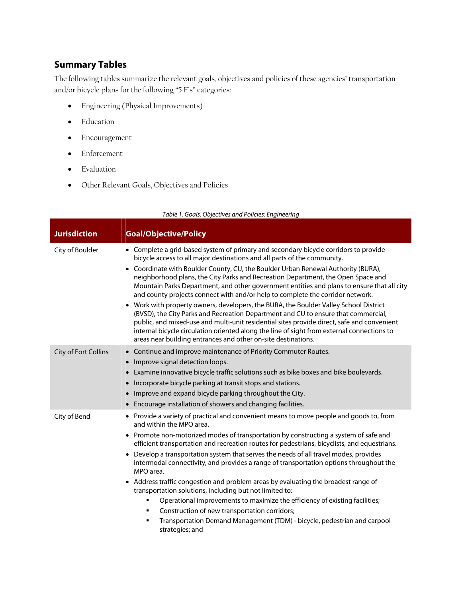## **Summary Tables**

The following tables summarize the relevant goals, objectives and policies of these agencies' transportation and/or bicycle plans for the following "5 E's" categories:

- Engineering (Physical Improvements)
- Education
- Encouragement
- Enforcement
- Evaluation
- Other Relevant Goals, Objectives and Policies

| <b>Jurisdiction</b>  | <b>Goal/Objective/Policy</b>                                                                                                                                                                                                                                                                                                                                                                                                                                                                                                                                                                                                                                                                                                                                                                                                                                                                                                                                          |
|----------------------|-----------------------------------------------------------------------------------------------------------------------------------------------------------------------------------------------------------------------------------------------------------------------------------------------------------------------------------------------------------------------------------------------------------------------------------------------------------------------------------------------------------------------------------------------------------------------------------------------------------------------------------------------------------------------------------------------------------------------------------------------------------------------------------------------------------------------------------------------------------------------------------------------------------------------------------------------------------------------|
| City of Boulder      | • Complete a grid-based system of primary and secondary bicycle corridors to provide<br>bicycle access to all major destinations and all parts of the community.<br>• Coordinate with Boulder County, CU, the Boulder Urban Renewal Authority (BURA),<br>neighborhood plans, the City Parks and Recreation Department, the Open Space and<br>Mountain Parks Department, and other government entities and plans to ensure that all city<br>and county projects connect with and/or help to complete the corridor network.<br>• Work with property owners, developers, the BURA, the Boulder Valley School District<br>(BVSD), the City Parks and Recreation Department and CU to ensure that commercial,<br>public, and mixed-use and multi-unit residential sites provide direct, safe and convenient<br>internal bicycle circulation oriented along the line of sight from external connections to<br>areas near building entrances and other on-site destinations. |
| City of Fort Collins | Continue and improve maintenance of Priority Commuter Routes.<br>$\bullet$<br>Improve signal detection loops.<br>$\bullet$<br>Examine innovative bicycle traffic solutions such as bike boxes and bike boulevards.<br>$\bullet$<br>Incorporate bicycle parking at transit stops and stations.<br>$\bullet$<br>Improve and expand bicycle parking throughout the City.<br>$\bullet$<br>Encourage installation of showers and changing facilities.<br>$\bullet$                                                                                                                                                                                                                                                                                                                                                                                                                                                                                                         |
| City of Bend         | • Provide a variety of practical and convenient means to move people and goods to, from<br>and within the MPO area.<br>• Promote non-motorized modes of transportation by constructing a system of safe and<br>efficient transportation and recreation routes for pedestrians, bicyclists, and equestrians.<br>Develop a transportation system that serves the needs of all travel modes, provides<br>intermodal connectivity, and provides a range of transportation options throughout the<br>MPO area.<br>Address traffic congestion and problem areas by evaluating the broadest range of<br>$\bullet$<br>transportation solutions, including but not limited to:<br>Operational improvements to maximize the efficiency of existing facilities;<br>٠<br>Construction of new transportation corridors;<br>Transportation Demand Management (TDM) - bicycle, pedestrian and carpool<br>٠<br>strategies; and                                                        |

#### Table 1. Goals, Objectives and Policies: Engineering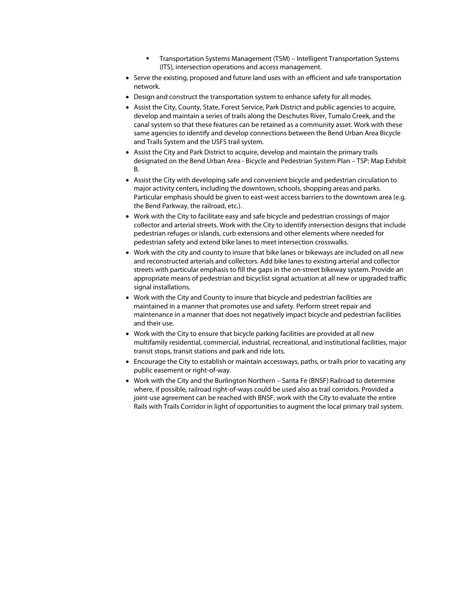- Transportation Systems Management (TSM) Intelligent Transportation Systems (ITS), intersection operations and access management.
- Serve the existing, proposed and future land uses with an efficient and safe transportation network.
- Design and construct the transportation system to enhance safety for all modes.
- Assist the City, County, State, Forest Service, Park District and public agencies to acquire, develop and maintain a series of trails along the Deschutes River, Tumalo Creek, and the canal system so that these features can be retained as a community asset. Work with these same agencies to identify and develop connections between the Bend Urban Area Bicycle and Trails System and the USFS trail system.
- Assist the City and Park District to acquire, develop and maintain the primary trails designated on the Bend Urban Area - Bicycle and Pedestrian System Plan – TSP: Map Exhibit B.
- Assist the City with developing safe and convenient bicycle and pedestrian circulation to major activity centers, including the downtown, schools, shopping areas and parks. Particular emphasis should be given to east-west access barriers to the downtown area (e.g. the Bend Parkway, the railroad, etc.).
- Work with the City to facilitate easy and safe bicycle and pedestrian crossings of major collector and arterial streets. Work with the City to identify intersection designs that include pedestrian refuges or islands, curb extensions and other elements where needed for pedestrian safety and extend bike lanes to meet intersection crosswalks.
- Work with the city and county to insure that bike lanes or bikeways are included on all new and reconstructed arterials and collectors. Add bike lanes to existing arterial and collector streets with particular emphasis to fill the gaps in the on-street bikeway system. Provide an appropriate means of pedestrian and bicyclist signal actuation at all new or upgraded traffic signal installations.
- Work with the City and County to insure that bicycle and pedestrian facilities are maintained in a manner that promotes use and safety. Perform street repair and maintenance in a manner that does not negatively impact bicycle and pedestrian facilities and their use.
- Work with the City to ensure that bicycle parking facilities are provided at all new multifamily residential, commercial, industrial, recreational, and institutional facilities, major transit stops, transit stations and park and ride lots.
- Encourage the City to establish or maintain accessways, paths, or trails prior to vacating any public easement or right-of-way.
- Work with the City and the Burlington Northern Santa Fe (BNSF) Railroad to determine where, if possible, railroad right-of-ways could be used also as trail corridors. Provided a joint-use agreement can be reached with BNSF, work with the City to evaluate the entire Rails with Trails Corridor in light of opportunities to augment the local primary trail system.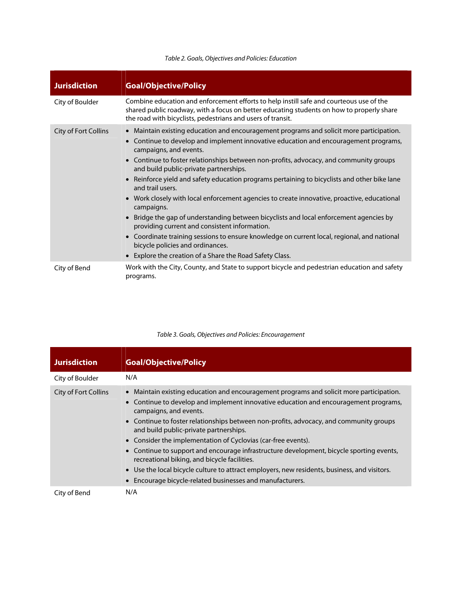#### Table 2. Goals, Objectives and Policies: Education

| <b>Jurisdiction</b>  | <b>Goal/Objective/Policy</b>                                                                                                                                                                                                                                                                                                                                                                                                                                                                                                                                                                                                                                                                                                                                                                                                                                                                                              |
|----------------------|---------------------------------------------------------------------------------------------------------------------------------------------------------------------------------------------------------------------------------------------------------------------------------------------------------------------------------------------------------------------------------------------------------------------------------------------------------------------------------------------------------------------------------------------------------------------------------------------------------------------------------------------------------------------------------------------------------------------------------------------------------------------------------------------------------------------------------------------------------------------------------------------------------------------------|
| City of Boulder      | Combine education and enforcement efforts to help instill safe and courteous use of the<br>shared public roadway, with a focus on better educating students on how to properly share<br>the road with bicyclists, pedestrians and users of transit.                                                                                                                                                                                                                                                                                                                                                                                                                                                                                                                                                                                                                                                                       |
| City of Fort Collins | • Maintain existing education and encouragement programs and solicit more participation.<br>• Continue to develop and implement innovative education and encouragement programs,<br>campaigns, and events.<br>• Continue to foster relationships between non-profits, advocacy, and community groups<br>and build public-private partnerships.<br>• Reinforce yield and safety education programs pertaining to bicyclists and other bike lane<br>and trail users.<br>• Work closely with local enforcement agencies to create innovative, proactive, educational<br>campaigns.<br>• Bridge the gap of understanding between bicyclists and local enforcement agencies by<br>providing current and consistent information.<br>• Coordinate training sessions to ensure knowledge on current local, regional, and national<br>bicycle policies and ordinances.<br>• Explore the creation of a Share the Road Safety Class. |
| City of Bend         | Work with the City, County, and State to support bicycle and pedestrian education and safety<br>programs.                                                                                                                                                                                                                                                                                                                                                                                                                                                                                                                                                                                                                                                                                                                                                                                                                 |

| <b>Jurisdiction</b>  | <b>Goal/Objective/Policy</b>                                                                                                                                                                                                                                                                                                                                                                                                                                                                                                                                                                                                                                                                                             |
|----------------------|--------------------------------------------------------------------------------------------------------------------------------------------------------------------------------------------------------------------------------------------------------------------------------------------------------------------------------------------------------------------------------------------------------------------------------------------------------------------------------------------------------------------------------------------------------------------------------------------------------------------------------------------------------------------------------------------------------------------------|
| City of Boulder      | N/A                                                                                                                                                                                                                                                                                                                                                                                                                                                                                                                                                                                                                                                                                                                      |
| City of Fort Collins | • Maintain existing education and encouragement programs and solicit more participation.<br>• Continue to develop and implement innovative education and encouragement programs,<br>campaigns, and events.<br>• Continue to foster relationships between non-profits, advocacy, and community groups<br>and build public-private partnerships.<br>• Consider the implementation of Cyclovias (car-free events).<br>• Continue to support and encourage infrastructure development, bicycle sporting events,<br>recreational biking, and bicycle facilities.<br>• Use the local bicycle culture to attract employers, new residents, business, and visitors.<br>• Encourage bicycle-related businesses and manufacturers. |
| City of Bend         | N/A                                                                                                                                                                                                                                                                                                                                                                                                                                                                                                                                                                                                                                                                                                                      |

#### Table 3. Goals, Objectives and Policies: Encouragement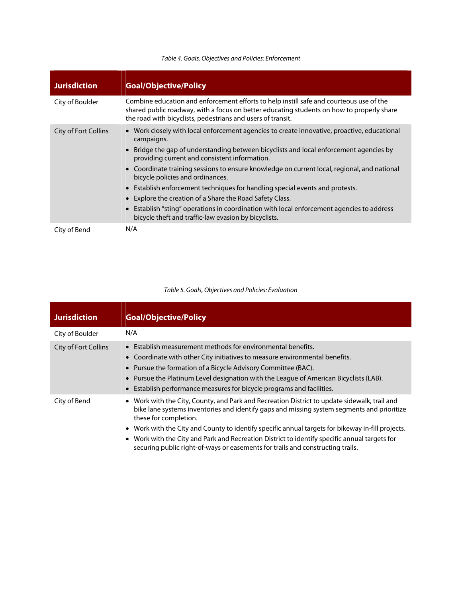| <b>Jurisdiction</b>  | <b>Goal/Objective/Policy</b>                                                                                                                                                                                                                                                                                                                                                                                                                                                                                                                                                                                                                                                             |
|----------------------|------------------------------------------------------------------------------------------------------------------------------------------------------------------------------------------------------------------------------------------------------------------------------------------------------------------------------------------------------------------------------------------------------------------------------------------------------------------------------------------------------------------------------------------------------------------------------------------------------------------------------------------------------------------------------------------|
| City of Boulder      | Combine education and enforcement efforts to help instill safe and courteous use of the<br>shared public roadway, with a focus on better educating students on how to properly share<br>the road with bicyclists, pedestrians and users of transit.                                                                                                                                                                                                                                                                                                                                                                                                                                      |
| City of Fort Collins | • Work closely with local enforcement agencies to create innovative, proactive, educational<br>campaigns.<br>• Bridge the gap of understanding between bicyclists and local enforcement agencies by<br>providing current and consistent information.<br>• Coordinate training sessions to ensure knowledge on current local, regional, and national<br>bicycle policies and ordinances.<br>• Establish enforcement techniques for handling special events and protests.<br>• Explore the creation of a Share the Road Safety Class.<br>• Establish "sting" operations in coordination with local enforcement agencies to address<br>bicycle theft and traffic-law evasion by bicyclists. |
| City of Bend         | N/A                                                                                                                                                                                                                                                                                                                                                                                                                                                                                                                                                                                                                                                                                      |

#### Table 4. Goals, Objectives and Policies: Enforcement

#### Table 5. Goals, Objectives and Policies: Evaluation

| <b>Jurisdiction</b>  | <b>Goal/Objective/Policy</b>                                                                                                                                                                                                                                                                                                                                                                                                                                                                                |
|----------------------|-------------------------------------------------------------------------------------------------------------------------------------------------------------------------------------------------------------------------------------------------------------------------------------------------------------------------------------------------------------------------------------------------------------------------------------------------------------------------------------------------------------|
| City of Boulder      | N/A                                                                                                                                                                                                                                                                                                                                                                                                                                                                                                         |
| City of Fort Collins | • Establish measurement methods for environmental benefits.<br>• Coordinate with other City initiatives to measure environmental benefits.<br>• Pursue the formation of a Bicycle Advisory Committee (BAC).<br>• Pursue the Platinum Level designation with the League of American Bicyclists (LAB).<br>• Establish performance measures for bicycle programs and facilities.                                                                                                                               |
| City of Bend         | • Work with the City, County, and Park and Recreation District to update sidewalk, trail and<br>bike lane systems inventories and identify gaps and missing system segments and prioritize<br>these for completion.<br>• Work with the City and County to identify specific annual targets for bikeway in-fill projects.<br>• Work with the City and Park and Recreation District to identify specific annual targets for<br>securing public right-of-ways or easements for trails and constructing trails. |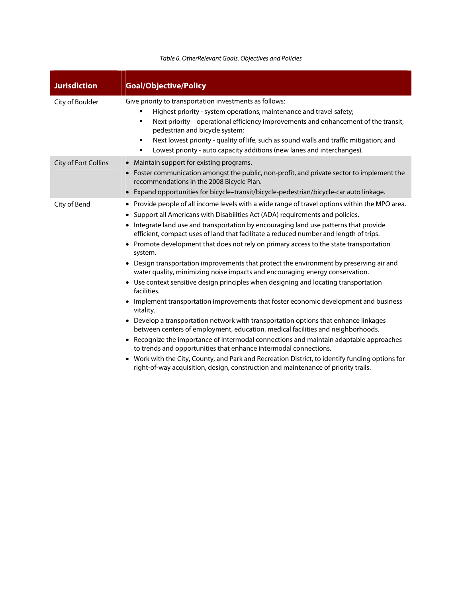#### Table 6. OtherRelevant Goals, Objectives and Policies

| <b>Jurisdiction</b>  | <b>Goal/Objective/Policy</b>                                                                                                                                                                                                                                                                                                                                                                                                                                                                                                                                                                                                                                                                                                                                                                                                                                                                                                                                                                                                                                                                                                                                                                                                                                                                                                                                                                         |
|----------------------|------------------------------------------------------------------------------------------------------------------------------------------------------------------------------------------------------------------------------------------------------------------------------------------------------------------------------------------------------------------------------------------------------------------------------------------------------------------------------------------------------------------------------------------------------------------------------------------------------------------------------------------------------------------------------------------------------------------------------------------------------------------------------------------------------------------------------------------------------------------------------------------------------------------------------------------------------------------------------------------------------------------------------------------------------------------------------------------------------------------------------------------------------------------------------------------------------------------------------------------------------------------------------------------------------------------------------------------------------------------------------------------------------|
| City of Boulder      | Give priority to transportation investments as follows:<br>Highest priority - system operations, maintenance and travel safety;<br>Next priority - operational efficiency improvements and enhancement of the transit,<br>٠<br>pedestrian and bicycle system;<br>Next lowest priority - quality of life, such as sound walls and traffic mitigation; and<br>٠<br>Lowest priority - auto capacity additions (new lanes and interchanges).                                                                                                                                                                                                                                                                                                                                                                                                                                                                                                                                                                                                                                                                                                                                                                                                                                                                                                                                                             |
| City of Fort Collins | • Maintain support for existing programs.<br>• Foster communication amongst the public, non-profit, and private sector to implement the<br>recommendations in the 2008 Bicycle Plan.<br>• Expand opportunities for bicycle-transit/bicycle-pedestrian/bicycle-car auto linkage.                                                                                                                                                                                                                                                                                                                                                                                                                                                                                                                                                                                                                                                                                                                                                                                                                                                                                                                                                                                                                                                                                                                      |
| City of Bend         | Provide people of all income levels with a wide range of travel options within the MPO area.<br>٠<br>• Support all Americans with Disabilities Act (ADA) requirements and policies.<br>• Integrate land use and transportation by encouraging land use patterns that provide<br>efficient, compact uses of land that facilitate a reduced number and length of trips.<br>• Promote development that does not rely on primary access to the state transportation<br>system.<br>• Design transportation improvements that protect the environment by preserving air and<br>water quality, minimizing noise impacts and encouraging energy conservation.<br>• Use context sensitive design principles when designing and locating transportation<br>facilities.<br>• Implement transportation improvements that foster economic development and business<br>vitality.<br>• Develop a transportation network with transportation options that enhance linkages<br>between centers of employment, education, medical facilities and neighborhoods.<br>• Recognize the importance of intermodal connections and maintain adaptable approaches<br>to trends and opportunities that enhance intermodal connections.<br>• Work with the City, County, and Park and Recreation District, to identify funding options for<br>right-of-way acquisition, design, construction and maintenance of priority trails. |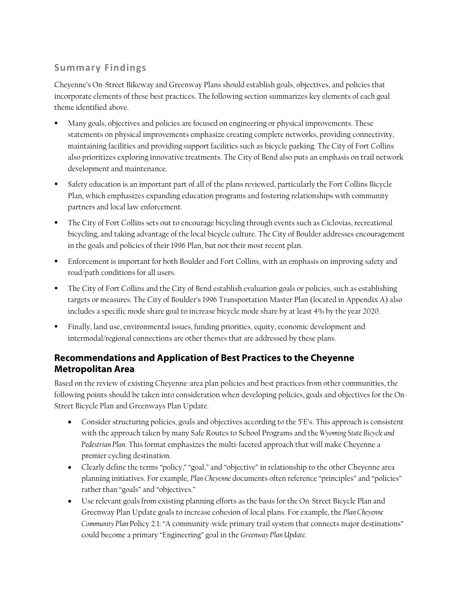## **Summary Findings**

Cheyenne's On-Street Bikeway and Greenway Plans should establish goals, objectives, and policies that incorporate elements of these best practices. The following section summarizes key elements of each goal theme identified above.

- Many goals, objectives and policies are focused on engineering or physical improvements. These statements on physical improvements emphasize creating complete networks, providing connectivity, maintaining facilities and providing support facilities such as bicycle parking. The City of Fort Collins also prioritizes exploring innovative treatments. The City of Bend also puts an emphasis on trail network development and maintenance.
- Safety education is an important part of all of the plans reviewed, particularly the Fort Collins Bicycle Plan, which emphasizes expanding education programs and fostering relationships with community partners and local law enforcement.
- The City of Fort Collins sets out to encourage bicycling through events such as Ciclovias, recreational bicycling, and taking advantage of the local bicycle culture. The City of Boulder addresses encouragement in the goals and policies of their 1996 Plan, but not their most recent plan.
- **Enforcement is important for both Boulder and Fort Collins, with an emphasis on improving safety and** road/path conditions for all users.
- The City of Fort Collins and the City of Bend establish evaluation goals or policies, such as establishing targets or measures. The City of Boulder's 1996 Transportation Master Plan (located in Appendix A) also includes a specific mode share goal to increase bicycle mode share by at least 4% by the year 2020.
- Finally, land use, environmental issues, funding priorities, equity, economic development and intermodal/regional connections are other themes that are addressed by these plans.

## **Recommendations and Application of Best Practices to the Cheyenne Metropolitan Area**

Based on the review of existing Cheyenne-area plan policies and best practices from other communities, the following points should be taken into consideration when developing policies, goals and objectives for the On-Street Bicycle Plan and Greenways Plan Update.

- Consider structuring policies, goals and objectives according to the 5'E's. This approach is consistent with the approach taken by many Safe Routes to School Programs and the *Wyoming State Bicycle and Pedestrian Plan*. This format emphasizes the multi-faceted approach that will make Cheyenne a premier cycling destination.
- Clearly define the terms "policy," "goal," and "objective" in relationship to the other Cheyenne area planning initiatives. For example, *Plan Cheyenne* documents often reference "principles" and "policies" rather than "goals" and "objectives."
- Use relevant goals from existing planning efforts as the basis for the On-Street Bicycle Plan and Greenway Plan Update goals to increase cohesion of local plans. For example, the *Plan Cheyenne Community Plan* Policy 2.1: "A community-wide primary trail system that connects major destinations" could become a primary "Engineering" goal in the *Greenway Plan Update*.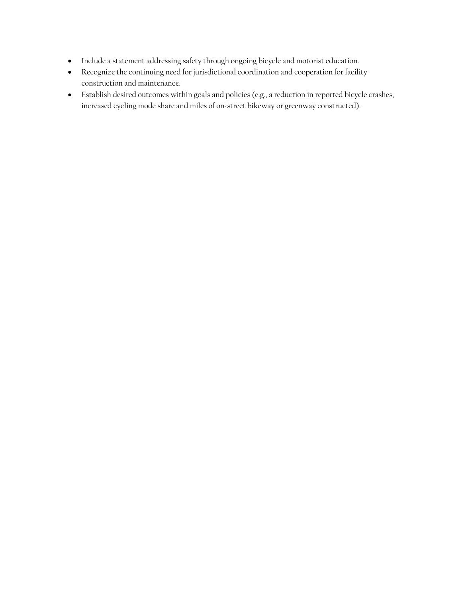- Include a statement addressing safety through ongoing bicycle and motorist education.
- Recognize the continuing need for jurisdictional coordination and cooperation for facility construction and maintenance.
- Establish desired outcomes within goals and policies (e.g., a reduction in reported bicycle crashes, increased cycling mode share and miles of on-street bikeway or greenway constructed).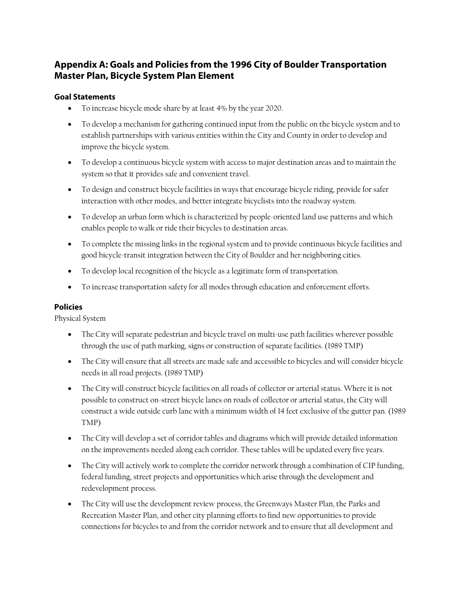## **Appendix A: Goals and Policies from the 1996 City of Boulder Transportation Master Plan, Bicycle System Plan Element**

#### **Goal Statements**

- To increase bicycle mode share by at least 4% by the year 2020.
- To develop a mechanism for gathering continued input from the public on the bicycle system and to establish partnerships with various entities within the City and County in order to develop and improve the bicycle system.
- To develop a continuous bicycle system with access to major destination areas and to maintain the system so that it provides safe and convenient travel.
- To design and construct bicycle facilities in ways that encourage bicycle riding, provide for safer interaction with other modes, and better integrate bicyclists into the roadway system.
- To develop an urban form which is characterized by people-oriented land use patterns and which enables people to walk or ride their bicycles to destination areas.
- To complete the missing links in the regional system and to provide continuous bicycle facilities and good bicycle-transit integration between the City of Boulder and her neighboring cities.
- To develop local recognition of the bicycle as a legitimate form of transportation.
- To increase transportation safety for all modes through education and enforcement efforts.

#### **Policies**

Physical System

- The City will separate pedestrian and bicycle travel on multi-use path facilities wherever possible through the use of path marking, signs or construction of separate facilities. (1989 TMP)
- The City will ensure that all streets are made safe and accessible to bicycles and will consider bicycle needs in all road projects. (1989 TMP)
- The City will construct bicycle facilities on all roads of collector or arterial status. Where it is not possible to construct on-street bicycle lanes on roads of collector or arterial status, the City will construct a wide outside curb lane with a minimum width of 14 feet exclusive of the gutter pan. (1989 TMP)
- The City will develop a set of corridor tables and diagrams which will provide detailed information on the improvements needed along each corridor. These tables will be updated every five years.
- The City will actively work to complete the corridor network through a combination of CIP funding, federal funding, street projects and opportunities which arise through the development and redevelopment process.
- The City will use the development review process, the Greenways Master Plan, the Parks and Recreation Master Plan, and other city planning efforts to find new opportunities to provide connections for bicycles to and from the corridor network and to ensure that all development and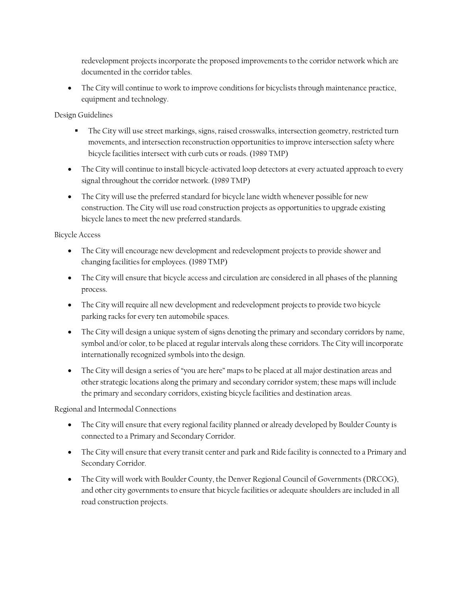redevelopment projects incorporate the proposed improvements to the corridor network which are documented in the corridor tables.

 The City will continue to work to improve conditions for bicyclists through maintenance practice, equipment and technology.

Design Guidelines

- The City will use street markings, signs, raised crosswalks, intersection geometry, restricted turn movements, and intersection reconstruction opportunities to improve intersection safety where bicycle facilities intersect with curb cuts or roads. (1989 TMP)
- The City will continue to install bicycle-activated loop detectors at every actuated approach to every signal throughout the corridor network. (1989 TMP)
- The City will use the preferred standard for bicycle lane width whenever possible for new construction. The City will use road construction projects as opportunities to upgrade existing bicycle lanes to meet the new preferred standards.

Bicycle Access

- The City will encourage new development and redevelopment projects to provide shower and changing facilities for employees. (1989 TMP)
- The City will ensure that bicycle access and circulation are considered in all phases of the planning process.
- The City will require all new development and redevelopment projects to provide two bicycle parking racks for every ten automobile spaces.
- The City will design a unique system of signs denoting the primary and secondary corridors by name, symbol and/or color, to be placed at regular intervals along these corridors. The City will incorporate internationally recognized symbols into the design.
- The City will design a series of "you are here" maps to be placed at all major destination areas and other strategic locations along the primary and secondary corridor system; these maps will include the primary and secondary corridors, existing bicycle facilities and destination areas.

Regional and Intermodal Connections

- The City will ensure that every regional facility planned or already developed by Boulder County is connected to a Primary and Secondary Corridor.
- The City will ensure that every transit center and park and Ride facility is connected to a Primary and Secondary Corridor.
- The City will work with Boulder County, the Denver Regional Council of Governments (DRCOG), and other city governments to ensure that bicycle facilities or adequate shoulders are included in all road construction projects.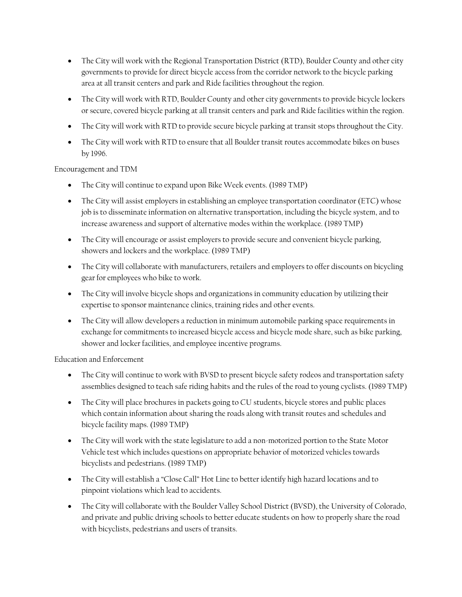- The City will work with the Regional Transportation District (RTD), Boulder County and other city governments to provide for direct bicycle access from the corridor network to the bicycle parking area at all transit centers and park and Ride facilities throughout the region.
- The City will work with RTD, Boulder County and other city governments to provide bicycle lockers or secure, covered bicycle parking at all transit centers and park and Ride facilities within the region.
- The City will work with RTD to provide secure bicycle parking at transit stops throughout the City.
- The City will work with RTD to ensure that all Boulder transit routes accommodate bikes on buses by 1996.

Encouragement and TDM

- The City will continue to expand upon Bike Week events. (1989 TMP)
- The City will assist employers in establishing an employee transportation coordinator (ETC) whose job is to disseminate information on alternative transportation, including the bicycle system, and to increase awareness and support of alternative modes within the workplace. (1989 TMP)
- The City will encourage or assist employers to provide secure and convenient bicycle parking, showers and lockers and the workplace. (1989 TMP)
- The City will collaborate with manufacturers, retailers and employers to offer discounts on bicycling gear for employees who bike to work.
- The City will involve bicycle shops and organizations in community education by utilizing their expertise to sponsor maintenance clinics, training rides and other events.
- The City will allow developers a reduction in minimum automobile parking space requirements in exchange for commitments to increased bicycle access and bicycle mode share, such as bike parking, shower and locker facilities, and employee incentive programs.

Education and Enforcement

- The City will continue to work with BVSD to present bicycle safety rodeos and transportation safety assemblies designed to teach safe riding habits and the rules of the road to young cyclists. (1989 TMP)
- The City will place brochures in packets going to CU students, bicycle stores and public places which contain information about sharing the roads along with transit routes and schedules and bicycle facility maps. (1989 TMP)
- The City will work with the state legislature to add a non-motorized portion to the State Motor Vehicle test which includes questions on appropriate behavior of motorized vehicles towards bicyclists and pedestrians. (1989 TMP)
- The City will establish a "Close Call" Hot Line to better identify high hazard locations and to pinpoint violations which lead to accidents.
- The City will collaborate with the Boulder Valley School District (BVSD), the University of Colorado, and private and public driving schools to better educate students on how to properly share the road with bicyclists, pedestrians and users of transits.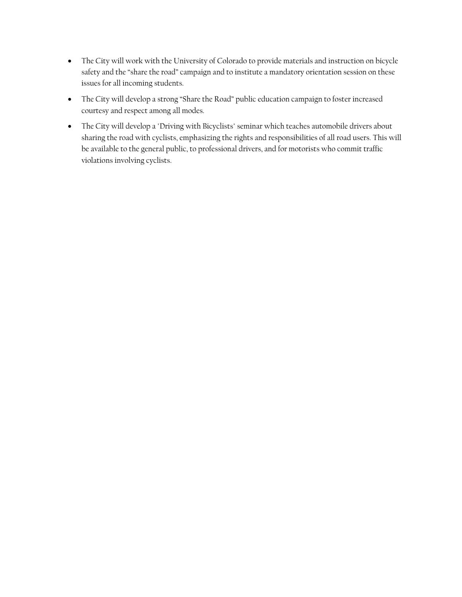- The City will work with the University of Colorado to provide materials and instruction on bicycle safety and the "share the road" campaign and to institute a mandatory orientation session on these issues for all incoming students.
- The City will develop a strong "Share the Road" public education campaign to foster increased courtesy and respect among all modes.
- The City will develop a "Driving with Bicyclists" seminar which teaches automobile drivers about sharing the road with cyclists, emphasizing the rights and responsibilities of all road users. This will be available to the general public, to professional drivers, and for motorists who commit traffic violations involving cyclists.